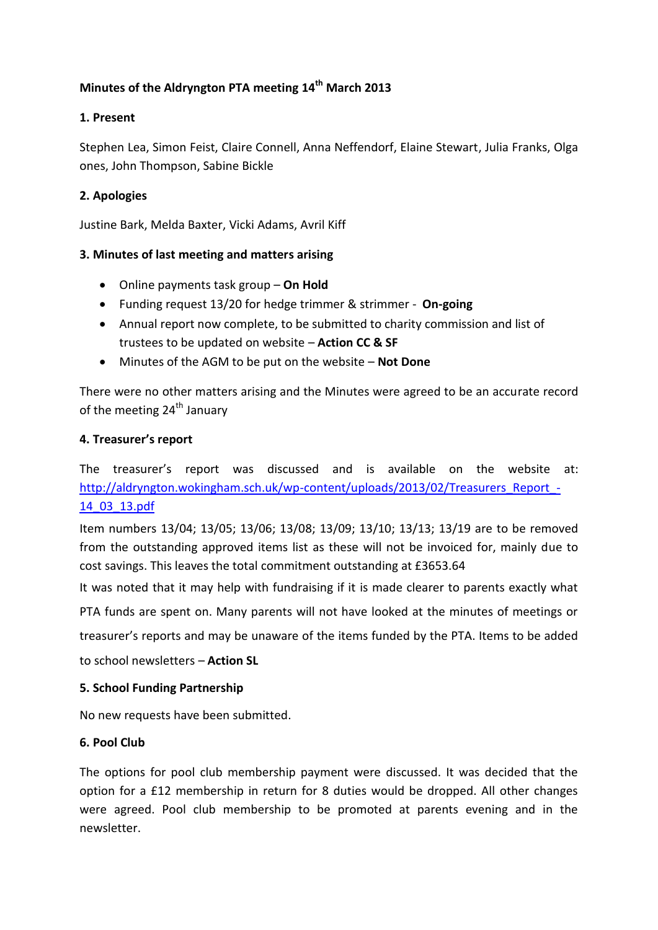# **Minutes of the Aldryngton PTA meeting 14th March 2013**

## **1. Present**

Stephen Lea, Simon Feist, Claire Connell, Anna Neffendorf, Elaine Stewart, Julia Franks, Olga ones, John Thompson, Sabine Bickle

## **2. Apologies**

Justine Bark, Melda Baxter, Vicki Adams, Avril Kiff

## **3. Minutes of last meeting and matters arising**

- Online payments task group **On Hold**
- Funding request 13/20 for hedge trimmer & strimmer **On-going**
- Annual report now complete, to be submitted to charity commission and list of trustees to be updated on website – **Action CC & SF**
- Minutes of the AGM to be put on the website **Not Done**

There were no other matters arising and the Minutes were agreed to be an accurate record of the meeting 24<sup>th</sup> January

#### **4. Treasurer's report**

The treasurer's report was discussed and is available on the website at: [http://aldryngton.wokingham.sch.uk/wp-content/uploads/2013/02/Treasurers\\_Report\\_-](http://aldryngton.wokingham.sch.uk/wp-content/uploads/2013/02/Treasurers_Report_-14_03_13.pdf) [14\\_03\\_13.pdf](http://aldryngton.wokingham.sch.uk/wp-content/uploads/2013/02/Treasurers_Report_-14_03_13.pdf)

Item numbers 13/04; 13/05; 13/06; 13/08; 13/09; 13/10; 13/13; 13/19 are to be removed from the outstanding approved items list as these will not be invoiced for, mainly due to cost savings. This leaves the total commitment outstanding at £3653.64

It was noted that it may help with fundraising if it is made clearer to parents exactly what

PTA funds are spent on. Many parents will not have looked at the minutes of meetings or

treasurer's reports and may be unaware of the items funded by the PTA. Items to be added

to school newsletters – **Action SL**

#### **5. School Funding Partnership**

No new requests have been submitted.

## **6. Pool Club**

The options for pool club membership payment were discussed. It was decided that the option for a £12 membership in return for 8 duties would be dropped. All other changes were agreed. Pool club membership to be promoted at parents evening and in the newsletter.